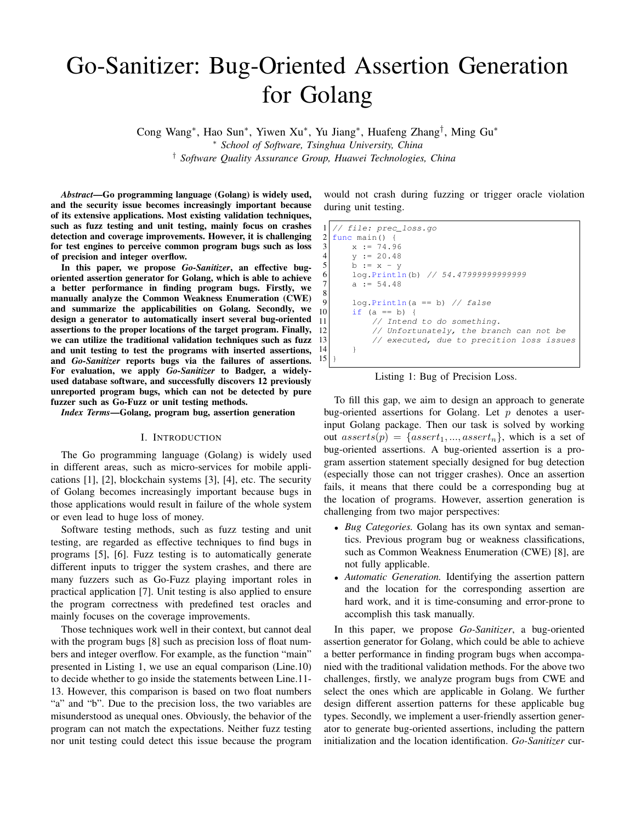# Go-Sanitizer: Bug-Oriented Assertion Generation for Golang

Cong Wang<sup>∗</sup> , Hao Sun<sup>∗</sup> , Yiwen Xu<sup>∗</sup> , Yu Jiang<sup>∗</sup> , Huafeng Zhang† , Ming Gu<sup>∗</sup> <sup>∗</sup> *School of Software, Tsinghua University, China* † *Software Quality Assurance Group, Huawei Technologies, China*

*Abstract*—Go programming language (Golang) is widely used, and the security issue becomes increasingly important because of its extensive applications. Most existing validation techniques, such as fuzz testing and unit testing, mainly focus on crashes detection and coverage improvements. However, it is challenging for test engines to perceive common program bugs such as loss of precision and integer overflow.

In this paper, we propose *Go-Sanitizer*, an effective bugoriented assertion generator for Golang, which is able to achieve a better performance in finding program bugs. Firstly, we manually analyze the Common Weakness Enumeration (CWE) and summarize the applicabilities on Golang. Secondly, we design a generator to automatically insert several bug-oriented assertions to the proper locations of the target program. Finally, we can utilize the traditional validation techniques such as fuzz and unit testing to test the programs with inserted assertions, and *Go-Sanitizer* reports bugs via the failures of assertions. For evaluation, we apply *Go-Sanitizer* to Badger, a widelyused database software, and successfully discovers 12 previously unreported program bugs, which can not be detected by pure fuzzer such as Go-Fuzz or unit testing methods.

*Index Terms*—Golang, program bug, assertion generation

#### I. INTRODUCTION

The Go programming language (Golang) is widely used in different areas, such as micro-services for mobile applications [1], [2], blockchain systems [3], [4], etc. The security of Golang becomes increasingly important because bugs in those applications would result in failure of the whole system or even lead to huge loss of money.

Software testing methods, such as fuzz testing and unit testing, are regarded as effective techniques to find bugs in programs [5], [6]. Fuzz testing is to automatically generate different inputs to trigger the system crashes, and there are many fuzzers such as Go-Fuzz playing important roles in practical application [7]. Unit testing is also applied to ensure the program correctness with predefined test oracles and mainly focuses on the coverage improvements.

Those techniques work well in their context, but cannot deal with the program bugs [8] such as precision loss of float numbers and integer overflow. For example, as the function "main" presented in Listing 1, we use an equal comparison (Line.10) to decide whether to go inside the statements between Line.11- 13. However, this comparison is based on two float numbers "a" and "b". Due to the precision loss, the two variables are misunderstood as unequal ones. Obviously, the behavior of the program can not match the expectations. Neither fuzz testing nor unit testing could detect this issue because the program would not crash during fuzzing or trigger oracle violation during unit testing.

```
1 // file: prec_loss.go
 \begin{array}{c|cc} 2 & \text{func } \text{main}() & \{3 & \text{x} := 74.9 \end{array}\begin{array}{c|cc}\n3 & x & = & 74.96 \\
\hline\n & x & = & 20.48\n\end{array}y := 20.48b := x - y6 log.Println(b) // 54.47999999999999
 7 a := 54.48\frac{8}{9}log.Println(a == b) // false
\begin{array}{c} 10 \\ 11 \end{array} if (a == b) {<br>// Intend
                  // Intend to do something.
12 // Unfortunately, the branch can not be 13 // executed, due to precition loss issu
           1/ executed, due to precition loss issues
14 }
15 }
```
Listing 1: Bug of Precision Loss.

To fill this gap, we aim to design an approach to generate bug-oriented assertions for Golang. Let  $p$  denotes a userinput Golang package. Then our task is solved by working out  $asserts(p) = \{assert_1, ..., assert_n\}$ , which is a set of bug-oriented assertions. A bug-oriented assertion is a program assertion statement specially designed for bug detection (especially those can not trigger crashes). Once an assertion fails, it means that there could be a corresponding bug at the location of programs. However, assertion generation is challenging from two major perspectives:

- *Bug Categories.* Golang has its own syntax and semantics. Previous program bug or weakness classifications, such as Common Weakness Enumeration (CWE) [8], are not fully applicable.
- *Automatic Generation.* Identifying the assertion pattern and the location for the corresponding assertion are hard work, and it is time-consuming and error-prone to accomplish this task manually.

In this paper, we propose *Go-Sanitizer*, a bug-oriented assertion generator for Golang, which could be able to achieve a better performance in finding program bugs when accompanied with the traditional validation methods. For the above two challenges, firstly, we analyze program bugs from CWE and select the ones which are applicable in Golang. We further design different assertion patterns for these applicable bug types. Secondly, we implement a user-friendly assertion generator to generate bug-oriented assertions, including the pattern initialization and the location identification. *Go-Sanitizer* cur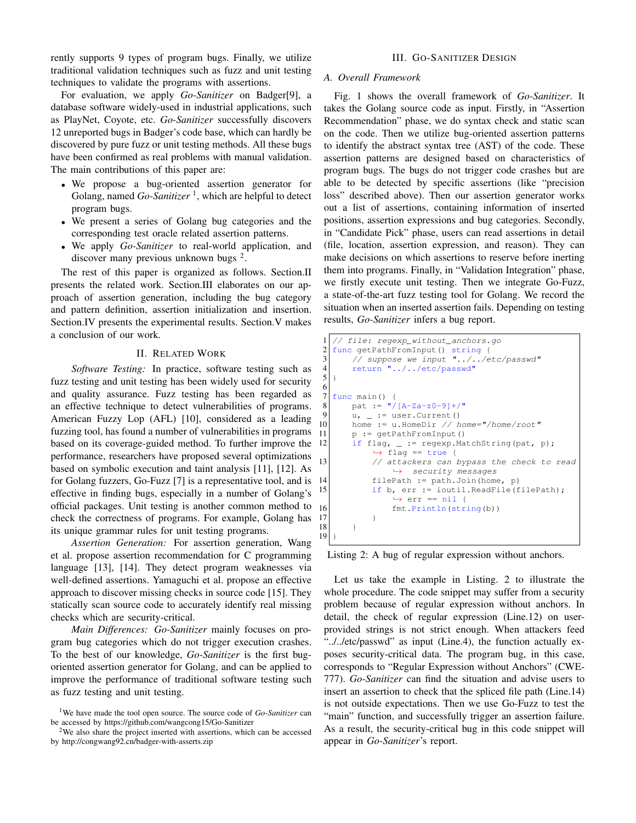rently supports 9 types of program bugs. Finally, we utilize traditional validation techniques such as fuzz and unit testing techniques to validate the programs with assertions.

For evaluation, we apply *Go-Sanitizer* on Badger[9], a database software widely-used in industrial applications, such as PlayNet, Coyote, etc. *Go-Sanitizer* successfully discovers 12 unreported bugs in Badger's code base, which can hardly be discovered by pure fuzz or unit testing methods. All these bugs have been confirmed as real problems with manual validation. The main contributions of this paper are:

- We propose a bug-oriented assertion generator for Golang, named *Go-Sanitizer*<sup>1</sup>, which are helpful to detect program bugs.
- We present a series of Golang bug categories and the corresponding test oracle related assertion patterns.
- We apply *Go-Sanitizer* to real-world application, and discover many previous unknown bugs <sup>2</sup>.

The rest of this paper is organized as follows. Section.II presents the related work. Section.III elaborates on our approach of assertion generation, including the bug category and pattern definition, assertion initialization and insertion. Section.IV presents the experimental results. Section.V makes a conclusion of our work.

### II. RELATED WORK

*Software Testing:* In practice, software testing such as fuzz testing and unit testing has been widely used for security and quality assurance. Fuzz testing has been regarded as an effective technique to detect vulnerabilities of programs. American Fuzzy Lop (AFL) [10], considered as a leading fuzzing tool, has found a number of vulnerabilities in programs based on its coverage-guided method. To further improve the performance, researchers have proposed several optimizations based on symbolic execution and taint analysis [11], [12]. As for Golang fuzzers, Go-Fuzz [7] is a representative tool, and is effective in finding bugs, especially in a number of Golang's official packages. Unit testing is another common method to check the correctness of programs. For example, Golang has its unique grammar rules for unit testing programs.

*Assertion Generation:* For assertion generation, Wang et al. propose assertion recommendation for C programming language [13], [14]. They detect program weaknesses via well-defined assertions. Yamaguchi et al. propose an effective approach to discover missing checks in source code [15]. They statically scan source code to accurately identify real missing checks which are security-critical.

*Main Differences: Go-Sanitizer* mainly focuses on program bug categories which do not trigger execution crashes. To the best of our knowledge, *Go-Sanitizer* is the first bugoriented assertion generator for Golang, and can be applied to improve the performance of traditional software testing such as fuzz testing and unit testing.

# III. GO-SANITIZER DESIGN

## *A. Overall Framework*

Fig. 1 shows the overall framework of *Go-Sanitizer*. It takes the Golang source code as input. Firstly, in "Assertion Recommendation" phase, we do syntax check and static scan on the code. Then we utilize bug-oriented assertion patterns to identify the abstract syntax tree (AST) of the code. These assertion patterns are designed based on characteristics of program bugs. The bugs do not trigger code crashes but are able to be detected by specific assertions (like "precision loss" described above). Then our assertion generator works out a list of assertions, containing information of inserted positions, assertion expressions and bug categories. Secondly, in "Candidate Pick" phase, users can read assertions in detail (file, location, assertion expression, and reason). They can make decisions on which assertions to reserve before inerting them into programs. Finally, in "Validation Integration" phase, we firstly execute unit testing. Then we integrate Go-Fuzz, a state-of-the-art fuzz testing tool for Golang. We record the situation when an inserted assertion fails. Depending on testing results, *Go-Sanitizer* infers a bug report.

```
1 // file: regexp_without_anchors.go
2 func getPathFromInput() string {<br>3 // suppose we input \overline{''}../../e
\frac{3}{4} // suppose we input "../../etc/passwd"
        4 return "../../etc/passwd"
5 }
6
7 func main() {
8 pat := ''/[A-Za-z0-9]+/"\begin{bmatrix} 9 \\ 10 \end{bmatrix} u, = i= user. Current ()<br>\begin{bmatrix} 1 \end{bmatrix} home := u HomeDir // h
10 home := u.HomeDir // home="/home/root"<br>11 p := qetPathFromInput()
        11 p := getPathFromInput()
12 if flag, = := regexp. MatchString(pat, p);
              \leftrightarrow flag == true {
13 // attackers can bypass the check to read
                   \leftrightarrow security messages
14 filePath := path.Join(home, p)
15 if b, err := ioutil.ReadFile(filePath);
                   \leftrightarrow err == nil {
16 fmt.Println(string(b))
17 }
18 }
19 }
```
Listing 2: A bug of regular expression without anchors.

Let us take the example in Listing. 2 to illustrate the whole procedure. The code snippet may suffer from a security problem because of regular expression without anchors. In detail, the check of regular expression (Line.12) on userprovided strings is not strict enough. When attackers feed "../../etc/passwd" as input (Line.4), the function actually exposes security-critical data. The program bug, in this case, corresponds to "Regular Expression without Anchors" (CWE-777). *Go-Sanitizer* can find the situation and advise users to insert an assertion to check that the spliced file path (Line.14) is not outside expectations. Then we use Go-Fuzz to test the "main" function, and successfully trigger an assertion failure. As a result, the security-critical bug in this code snippet will appear in *Go-Sanitizer*'s report.

<sup>1</sup>We have made the tool open source. The source code of *Go-Sanitizer* can be accessed by https://github.com/wangcong15/Go-Sanitizer

 $2$ We also share the project inserted with assertions, which can be accessed by http://congwang92.cn/badger-with-asserts.zip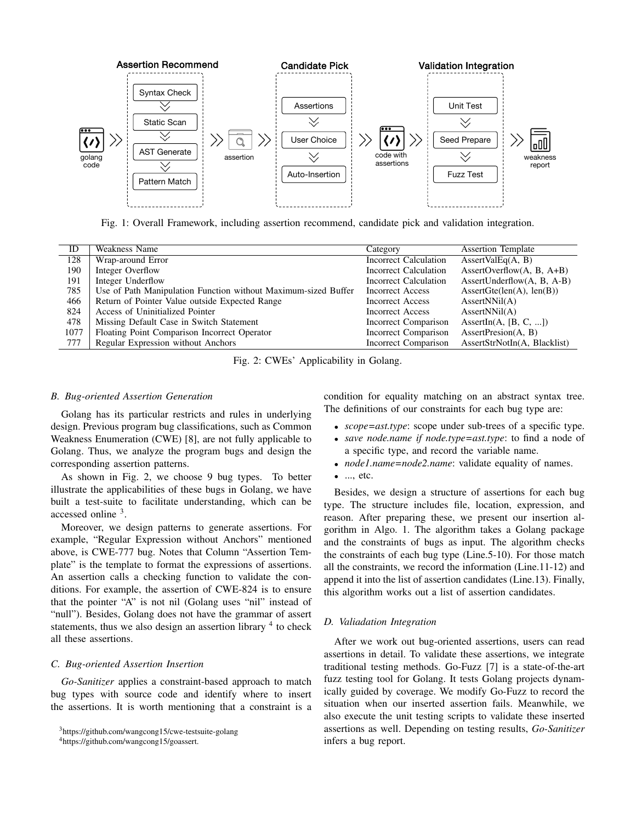

Fig. 1: Overall Framework, including assertion recommend, candidate pick and validation integration.

| ID   | Weakness Name                                                  | Category                     | <b>Assertion Template</b>                        |
|------|----------------------------------------------------------------|------------------------------|--------------------------------------------------|
| 128  | Wrap-around Error                                              | <b>Incorrect Calculation</b> | $\text{AssertValEq}(A, B)$                       |
| 190  | Integer Overflow                                               | Incorrect Calculation        | AssertOverflow $(A, B, A+B)$                     |
| 191  | Integer Underflow                                              | Incorrect Calculation        | AssertUnderflow $(A, B, A-B)$                    |
| 785  | Use of Path Manipulation Function without Maximum-sized Buffer | Incorrect Access             | $\text{assertGet}(\text{len}(A), \text{len}(B))$ |
| 466  | Return of Pointer Value outside Expected Range                 | Incorrect Access             | $\text{assertNNil}(A)$                           |
| 824  | Access of Uninitialized Pointer                                | Incorrect Access             | $\text{assertNNil}(A)$                           |
| 478  | Missing Default Case in Switch Statement                       | Incorrect Comparison         | AssertIn(A, $[B, C, ]$ )                         |
| 1077 | Floating Point Comparison Incorrect Operator                   | Incorrect Comparison         | $\text{assertPrecision}(A, B)$                   |
| 777  | Regular Expression without Anchors                             | Incorrect Comparison         | AssertStrNotIn(A, Blacklist)                     |

Fig. 2: CWEs' Applicability in Golang.

#### *B. Bug-oriented Assertion Generation*

Golang has its particular restricts and rules in underlying design. Previous program bug classifications, such as Common Weakness Enumeration (CWE) [8], are not fully applicable to Golang. Thus, we analyze the program bugs and design the corresponding assertion patterns.

As shown in Fig. 2, we choose 9 bug types. To better illustrate the applicabilities of these bugs in Golang, we have built a test-suite to facilitate understanding, which can be accessed online <sup>3</sup> .

Moreover, we design patterns to generate assertions. For example, "Regular Expression without Anchors" mentioned above, is CWE-777 bug. Notes that Column "Assertion Template" is the template to format the expressions of assertions. An assertion calls a checking function to validate the conditions. For example, the assertion of CWE-824 is to ensure that the pointer "A" is not nil (Golang uses "nil" instead of "null"). Besides, Golang does not have the grammar of assert statements, thus we also design an assertion library  $4$  to check all these assertions.

# *C. Bug-oriented Assertion Insertion*

*Go-Sanitizer* applies a constraint-based approach to match bug types with source code and identify where to insert the assertions. It is worth mentioning that a constraint is a condition for equality matching on an abstract syntax tree. The definitions of our constraints for each bug type are:

- *scope=ast.type*: scope under sub-trees of a specific type.
- *save node.name if node.type=ast.type*: to find a node of a specific type, and record the variable name.
- *node1.name=node2.name*: validate equality of names.
- ..., etc.

Besides, we design a structure of assertions for each bug type. The structure includes file, location, expression, and reason. After preparing these, we present our insertion algorithm in Algo. 1. The algorithm takes a Golang package and the constraints of bugs as input. The algorithm checks the constraints of each bug type (Line.5-10). For those match all the constraints, we record the information (Line.11-12) and append it into the list of assertion candidates (Line.13). Finally, this algorithm works out a list of assertion candidates.

#### *D. Valiadation Integration*

After we work out bug-oriented assertions, users can read assertions in detail. To validate these assertions, we integrate traditional testing methods. Go-Fuzz [7] is a state-of-the-art fuzz testing tool for Golang. It tests Golang projects dynamically guided by coverage. We modify Go-Fuzz to record the situation when our inserted assertion fails. Meanwhile, we also execute the unit testing scripts to validate these inserted assertions as well. Depending on testing results, *Go-Sanitizer* infers a bug report.

<sup>3</sup>https://github.com/wangcong15/cwe-testsuite-golang

<sup>4</sup>https://github.com/wangcong15/goassert.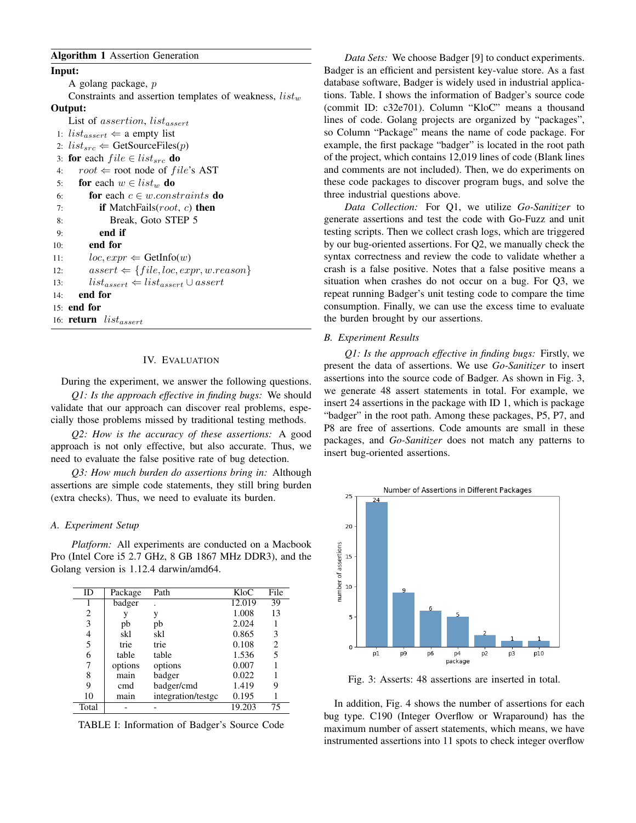## Algorithm 1 Assertion Generation

Input: A golang package, p Constraints and assertion templates of weakness,  $list_w$ Output: List of assertion,  $list_{assert}$ 1:  $list_{assert} \leftarrow$  a empty list 2:  $list_{src} \Leftarrow$  GetSourceFiles(p) 3: for each  $file \in list_{src}$  do 4:  $root \Leftarrow root node of file's AST$ 5: for each  $w \in list_w$  do 6: **for** each  $c \in w$ .constraints **do** 7: **if** MatchFails( $root$ , c) **then** 8: Break, Goto STEP 5 9: end if 10: end for 11:  $loc, expr \leftarrow \text{GetInfo}(w)$ 12:  $assert \Leftarrow \{file, loc, expr, w. reason\}$ 13:  $list_{assert} \leftarrow list_{assert} \cup assert$ 14: end for 15: end for 16: return  $list_{assert}$ 

# IV. EVALUATION

During the experiment, we answer the following questions.

*Q1: Is the approach effective in finding bugs:* We should validate that our approach can discover real problems, especially those problems missed by traditional testing methods.

*Q2: How is the accuracy of these assertions:* A good approach is not only effective, but also accurate. Thus, we need to evaluate the false positive rate of bug detection.

*Q3: How much burden do assertions bring in:* Although assertions are simple code statements, they still bring burden (extra checks). Thus, we need to evaluate its burden.

#### *A. Experiment Setup*

*Platform:* All experiments are conducted on a Macbook Pro (Intel Core i5 2.7 GHz, 8 GB 1867 MHz DDR3), and the Golang version is 1.12.4 darwin/amd64.

| ID    | Package | Path               | KloC   | File |
|-------|---------|--------------------|--------|------|
|       | badger  |                    | 12.019 | 39   |
| 2     |         | V                  | 1.008  | 13   |
| 3     | pb      | pb                 | 2.024  |      |
| 4     | skl     | skl                | 0.865  | 3    |
| 5     | trie    | trie               | 0.108  | 2    |
| 6     | table   | table              | 1.536  | 5    |
|       | options | options            | 0.007  |      |
| 8     | main    | badger             | 0.022  |      |
| 9     | cmd     | badger/cmd         | 1.419  | g    |
| 10    | main    | integration/testgc | 0.195  |      |
| Total |         |                    | 19.203 | 75   |

TABLE I: Information of Badger's Source Code

*Data Sets:* We choose Badger [9] to conduct experiments. Badger is an efficient and persistent key-value store. As a fast database software, Badger is widely used in industrial applications. Table. I shows the information of Badger's source code (commit ID: c32e701). Column "KloC" means a thousand lines of code. Golang projects are organized by "packages", so Column "Package" means the name of code package. For example, the first package "badger" is located in the root path of the project, which contains 12,019 lines of code (Blank lines and comments are not included). Then, we do experiments on these code packages to discover program bugs, and solve the three industrial questions above.

*Data Collection:* For Q1, we utilize *Go-Sanitizer* to generate assertions and test the code with Go-Fuzz and unit testing scripts. Then we collect crash logs, which are triggered by our bug-oriented assertions. For Q2, we manually check the syntax correctness and review the code to validate whether a crash is a false positive. Notes that a false positive means a situation when crashes do not occur on a bug. For Q3, we repeat running Badger's unit testing code to compare the time consumption. Finally, we can use the excess time to evaluate the burden brought by our assertions.

### *B. Experiment Results*

*Q1: Is the approach effective in finding bugs:* Firstly, we present the data of assertions. We use *Go-Sanitizer* to insert assertions into the source code of Badger. As shown in Fig. 3, we generate 48 assert statements in total. For example, we insert 24 assertions in the package with ID 1, which is package "badger" in the root path. Among these packages, P5, P7, and P8 are free of assertions. Code amounts are small in these packages, and *Go-Sanitizer* does not match any patterns to insert bug-oriented assertions.



Fig. 3: Asserts: 48 assertions are inserted in total.

In addition, Fig. 4 shows the number of assertions for each bug type. C190 (Integer Overflow or Wraparound) has the maximum number of assert statements, which means, we have instrumented assertions into 11 spots to check integer overflow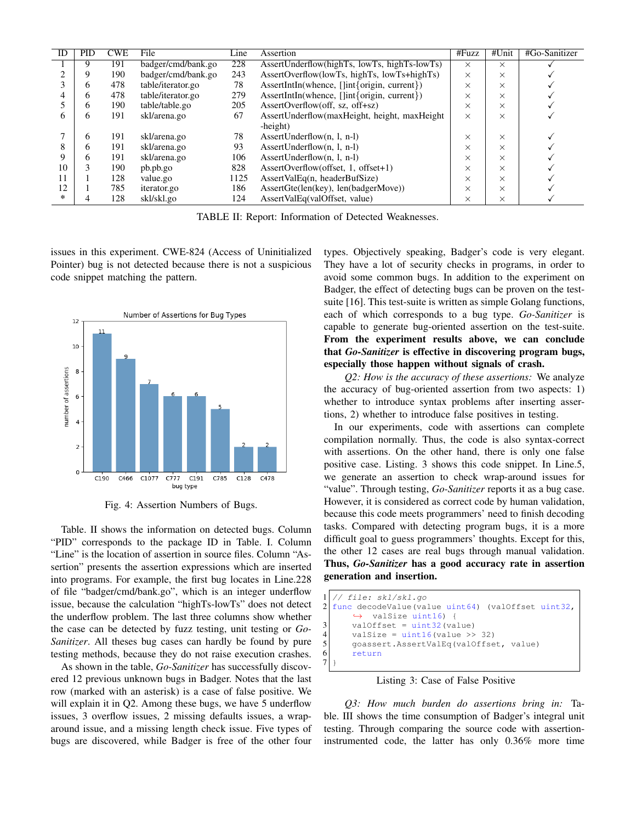| ID | <b>PID</b> | <b>CWE</b> | File               | Line | Assertion                                                  | #Fuzz    | #Unit    | #Go-Sanitizer |
|----|------------|------------|--------------------|------|------------------------------------------------------------|----------|----------|---------------|
|    |            |            |                    |      |                                                            |          |          |               |
|    |            | 191        | badger/cmd/bank.go | 228  | AssertUnderflow(highTs, lowTs, highTs-lowTs)               | $\times$ | X        |               |
|    |            | 190        | badger/cmd/bank.go | 243  | AssertOverflow(lowTs, highTs, lowTs+highTs)                | $\times$ | X        |               |
|    | h          | 478        | table/iterator.go  | 78   | AssertIntIn(whence, []int{origin, current})                | $\times$ | $\times$ |               |
|    | n          | 478        | table/iterator.go  | 279  | AssertIntIn(whence, []int{origin, current})                | $\times$ | X        |               |
|    | h          | 190        | table/table.go     | 205  | AssertOverflow(off, sz, off+sz)                            | $\times$ | X        |               |
| h  | n          | 191        | skl/arena.go       | 67   | AssertUnderflow(maxHeight, height, maxHeight               | $\times$ | X        |               |
|    |            |            |                    |      | -height)                                                   |          |          |               |
|    | h.         | 191        | skl/arena.go       | 78   | $\text{assertUnderflow}(n, l, n-l)$                        | $\times$ | X        |               |
| 8  | h.         | 191        | skl/arena.go       | 93   | AssertUnderflow $(n, l, n-l)$                              | $\times$ | X        |               |
| 9  | h          | 191        | skl/arena.go       | 106  | AssertUnderflow $(n, l, n-l)$                              | $\times$ | X        |               |
| 10 |            | 190        | pb.pb.go           | 828  | $\text{assertOverflow}(\text{offset}, 1, \text{offset}+1)$ | $\times$ | X        |               |
| 11 |            | 128        | value.go           | 1125 | AssertValEq(n, headerBufSize)                              | $\times$ | $\times$ |               |
| 12 |            | 785        | <i>iterator.go</i> | 186  | AssertGte(len(key), len(badgerMove))                       | $\times$ | X        |               |
| *  |            | 128        | skl/skl.go         | 124  | AssertValEq(valOffset, value)                              | $\times$ | $\times$ |               |

TABLE II: Report: Information of Detected Weaknesses.

issues in this experiment. CWE-824 (Access of Uninitialized Pointer) bug is not detected because there is not a suspicious code snippet matching the pattern.



Fig. 4: Assertion Numbers of Bugs.

Table. II shows the information on detected bugs. Column "PID" corresponds to the package ID in Table. I. Column "Line" is the location of assertion in source files. Column "Assertion" presents the assertion expressions which are inserted into programs. For example, the first bug locates in Line.228 of file "badger/cmd/bank.go", which is an integer underflow issue, because the calculation "highTs-lowTs" does not detect the underflow problem. The last three columns show whether the case can be detected by fuzz testing, unit testing or *Go-Sanitizer*. All theses bug cases can hardly be found by pure testing methods, because they do not raise execution crashes.

As shown in the table, *Go-Sanitizer* has successfully discovered 12 previous unknown bugs in Badger. Notes that the last row (marked with an asterisk) is a case of false positive. We will explain it in Q2. Among these bugs, we have 5 underflow issues, 3 overflow issues, 2 missing defaults issues, a wraparound issue, and a missing length check issue. Five types of bugs are discovered, while Badger is free of the other four types. Objectively speaking, Badger's code is very elegant. They have a lot of security checks in programs, in order to avoid some common bugs. In addition to the experiment on Badger, the effect of detecting bugs can be proven on the testsuite [16]. This test-suite is written as simple Golang functions, each of which corresponds to a bug type. *Go-Sanitizer* is capable to generate bug-oriented assertion on the test-suite. From the experiment results above, we can conclude that *Go-Sanitizer* is effective in discovering program bugs, especially those happen without signals of crash.

*Q2: How is the accuracy of these assertions:* We analyze the accuracy of bug-oriented assertion from two aspects: 1) whether to introduce syntax problems after inserting assertions, 2) whether to introduce false positives in testing.

In our experiments, code with assertions can complete compilation normally. Thus, the code is also syntax-correct with assertions. On the other hand, there is only one false positive case. Listing. 3 shows this code snippet. In Line.5, we generate an assertion to check wrap-around issues for "value". Through testing, *Go-Sanitizer* reports it as a bug case. However, it is considered as correct code by human validation, because this code meets programmers' need to finish decoding tasks. Compared with detecting program bugs, it is a more difficult goal to guess programmers' thoughts. Except for this, the other 12 cases are real bugs through manual validation. Thus, *Go-Sanitizer* has a good accuracy rate in assertion generation and insertion.

```
\frac{1}{2} // file: skl/skl.go
  func decodeValue(value uint64) (valOffset uint32,
        \leftrightarrow valSize uint16) {
        valOffset = uint32 (value)
4 valSize = uint16(value >> 32)<br>5 goassert.AssertValEq(valOffse
5 goassert.AssertValEq(valOffset, value)<br>6 return
        6 return
\overline{7}
```
# Listing 3: Case of False Positive

*Q3: How much burden do assertions bring in:* Table. III shows the time consumption of Badger's integral unit testing. Through comparing the source code with assertioninstrumented code, the latter has only 0.36% more time